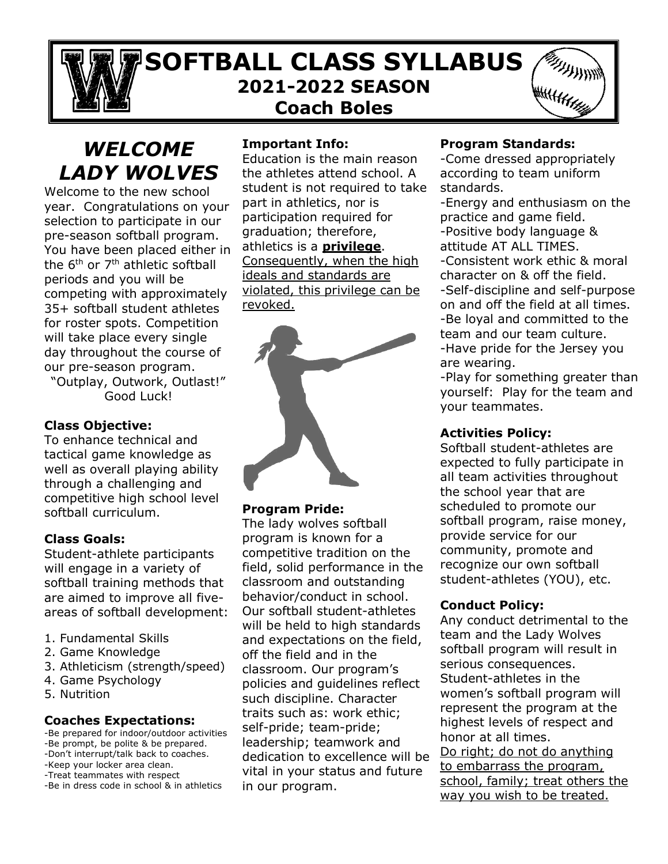# **SOFTBALL CLASS SYLLABUS 2021-2022 SEASON Coach Boles**



# *WELCOME LADY WOLVES*

Welcome to the new school year. Congratulations on your selection to participate in our pre-season softball program. You have been placed either in the 6<sup>th</sup> or 7<sup>th</sup> athletic softball periods and you will be competing with approximately 35+ softball student athletes for roster spots. Competition will take place every single day throughout the course of our pre-season program.

"Outplay, Outwork, Outlast!" Good Luck!

# **Class Objective:**

To enhance technical and tactical game knowledge as well as overall playing ability through a challenging and competitive high school level softball curriculum.

#### **Class Goals:**

Student-athlete participants will engage in a variety of softball training methods that are aimed to improve all fiveareas of softball development:

- 1. Fundamental Skills
- 2. Game Knowledge
- 3. Athleticism (strength/speed)
- 4. Game Psychology
- 5. Nutrition

#### **Coaches Expectations:**

-Be prepared for indoor/outdoor activities -Be prompt, be polite & be prepared. -Don't interrupt/talk back to coaches. -Keep your locker area clean. -Treat teammates with respect -Be in dress code in school & in athletics

#### **Important Info:**

Education is the main reason the athletes attend school. A student is not required to take part in athletics, nor is participation required for graduation; therefore, athletics is a **privilege**. Consequently, when the high ideals and standards are violated, this privilege can be revoked.



#### **Program Pride:**

The lady wolves softball program is known for a competitive tradition on the field, solid performance in the classroom and outstanding behavior/conduct in school. Our softball student-athletes will be held to high standards and expectations on the field, off the field and in the classroom. Our program's policies and guidelines reflect such discipline. Character traits such as: work ethic; self-pride; team-pride; leadership; teamwork and dedication to excellence will be vital in your status and future in our program.

#### **Program Standards:**

-Come dressed appropriately according to team uniform standards.

-Energy and enthusiasm on the practice and game field. -Positive body language & attitude AT ALL TIMES.

-Consistent work ethic & moral character on & off the field. -Self-discipline and self-purpose

on and off the field at all times. -Be loyal and committed to the team and our team culture. -Have pride for the Jersey you

are wearing.

-Play for something greater than yourself: Play for the team and your teammates.

#### **Activities Policy:**

Softball student-athletes are expected to fully participate in all team activities throughout the school year that are scheduled to promote our softball program, raise money, provide service for our community, promote and recognize our own softball student-athletes (YOU), etc.

# **Conduct Policy:**

Any conduct detrimental to the team and the Lady Wolves softball program will result in serious consequences. Student-athletes in the women's softball program will represent the program at the highest levels of respect and honor at all times. Do right; do not do anything to embarrass the program, school, family; treat others the way you wish to be treated.